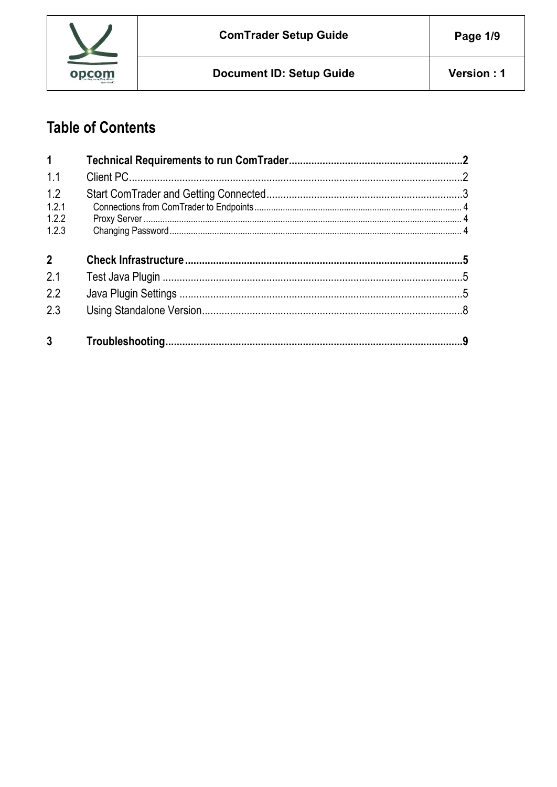

# **Table of Contents**

| $\mathbf 1$                    |  |
|--------------------------------|--|
| 1.1                            |  |
| 1.2<br>1.2.1<br>1.2.2<br>1.2.3 |  |
| 2 <sup>1</sup>                 |  |
| 2.1                            |  |
|                                |  |
| 2.2                            |  |
| 2.3                            |  |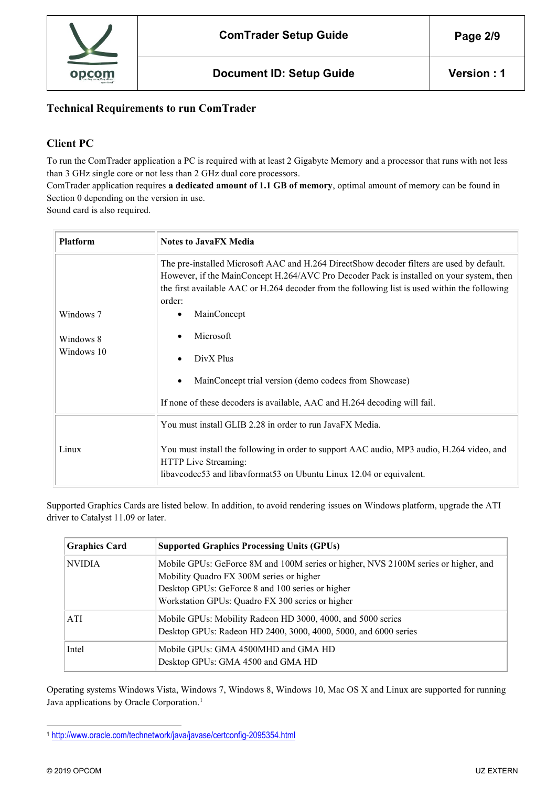

## **Technical Requirements to run ComTrader**

## **Client PC**

To run the ComTrader application a PC is required with at least 2 Gigabyte Memory and a processor that runs with not less than 3 GHz single core or not less than 2 GHz dual core processors.

ComTrader application requires **a dedicated amount of 1.1 GB of memory**, optimal amount of memory can be found in Section [0](#page-7-0) depending on the version in use.

Sound card is also required.

| <b>Platform</b>        | <b>Notes to JavaFX Media</b>                                                                                                                                                                                                                                                                                                                   |  |
|------------------------|------------------------------------------------------------------------------------------------------------------------------------------------------------------------------------------------------------------------------------------------------------------------------------------------------------------------------------------------|--|
| Windows 7<br>Windows 8 | The pre-installed Microsoft AAC and H.264 DirectShow decoder filters are used by default.<br>However, if the MainConcept H.264/AVC Pro Decoder Pack is installed on your system, then<br>the first available AAC or H.264 decoder from the following list is used within the following<br>order:<br>MainConcept<br>٠<br>Microsoft<br>$\bullet$ |  |
| Windows 10             | DivX Plus<br>MainConcept trial version (demo codecs from Showcase)<br>$\bullet$<br>If none of these decoders is available, AAC and H.264 decoding will fail.                                                                                                                                                                                   |  |
| Linux                  | You must install GLIB 2.28 in order to run JavaFX Media.<br>You must install the following in order to support AAC audio, MP3 audio, H.264 video, and<br>HTTP Live Streaming:<br>libavcodec53 and libavformat53 on Ubuntu Linux 12.04 or equivalent.                                                                                           |  |

Supported Graphics Cards are listed below. In addition, to avoid rendering issues on Windows platform, upgrade the ATI driver to Catalyst 11.09 or later.

| <b>Graphics Card</b> | <b>Supported Graphics Processing Units (GPUs)</b>                                                                                                                                                                                      |
|----------------------|----------------------------------------------------------------------------------------------------------------------------------------------------------------------------------------------------------------------------------------|
| <b>NVIDIA</b>        | Mobile GPUs: GeForce 8M and 100M series or higher, NVS 2100M series or higher, and<br>Mobility Quadro FX 300M series or higher<br>Desktop GPUs: GeForce 8 and 100 series or higher<br>Workstation GPUs: Quadro FX 300 series or higher |
| ATI                  | Mobile GPUs: Mobility Radeon HD 3000, 4000, and 5000 series<br>Desktop GPUs: Radeon HD 2400, 3000, 4000, 5000, and 6000 series                                                                                                         |
| Intel                | Mobile GPUs: GMA 4500MHD and GMA HD<br>Desktop GPUs: GMA 4500 and GMA HD                                                                                                                                                               |

Operating systems Windows Vista, Windows 7, Windows 8, Windows 10, Mac OS X and Linux are supported for running Java applications by Oracle Corporation.<sup>1</sup>

<sup>1</sup> <http://www.oracle.com/technetwork/java/javase/certconfig-2095354.html>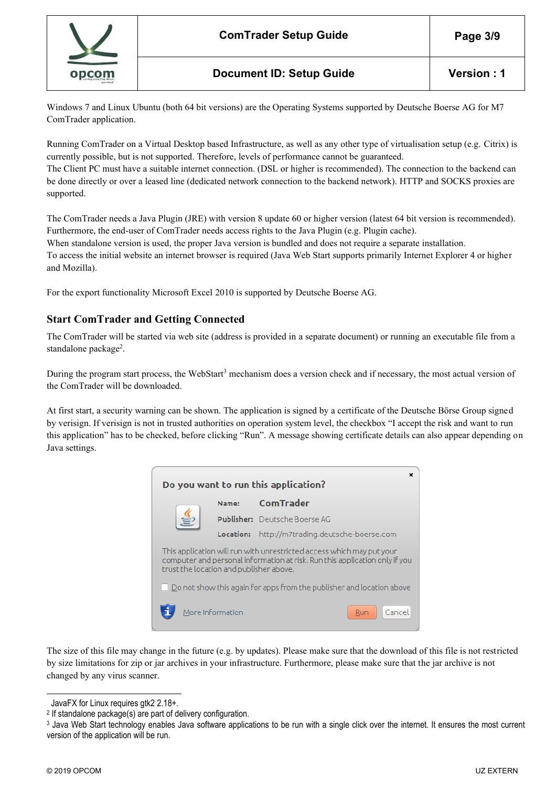

Windows 7 and Linux Ubuntu (both 64 bit versions) are the Operating Systems supported by Deutsche Boerse AG for M7 ComTrader application.

Running ComTrader on a Virtual Desktop based Infrastructure, as well as any other type of virtualisation setup (e.g. Citrix) is currently possible, but is not supported. Therefore, levels of performance cannot be guaranteed.

The Client PC must have a suitable internet connection. (DSL or higher is recommended). The connection to the backend can be done directly or over a leased line (dedicated network connection to the backend network). HTTP and SOCKS proxies are supported.

The ComTrader needs a Java Plugin (JRE) with version 8 update 60 or higher version (latest 64 bit version is recommended). Furthermore, the end-user of ComTrader needs access rights to the Java Plugin (e.g. Plugin cache).

When standalone version is used, the proper Java version is bundled and does not require a separate installation. To access the initial website an internet browser is required (Java Web Start supports primarily Internet Explorer 4 or higher and Mozilla).

<span id="page-2-0"></span>For the export functionality Microsoft Excel 2010 is supported by Deutsche Boerse AG.

## **Start ComTrader and Getting Connected**

The ComTrader will be started via web site (address is provided in a separate document) or running an executable file from a standalone package<sup>2</sup>.

During the program start process, the WebStart<sup>3</sup> mechanism does a version check and if necessary, the most actual version of the ComTrader will be downloaded.

At first start, a security warning can be shown. The application is signed by a certificate of the Deutsche Börse Group signed by verisign. If verisign is not in trusted authorities on operation system level, the checkbox "I accept the risk and want to run this application" has to be checked, before clicking "Run". A message showing certificate details can also appear depending on Java settings.



The size of this file may change in the future (e.g. by updates). Please make sure that the download of this file is not restricted by size limitations for zip or jar archives in your infrastructure. Furthermore, please make sure that the jar archive is not changed by any virus scanner.

JavaFX for Linux requires gtk2 2.18+.

<sup>2</sup> If standalone package(s) are part of delivery configuration.

<sup>3</sup> Java Web Start technology enables Java software applications to be run with a single click over the internet. It ensures the most current version of the application will be run.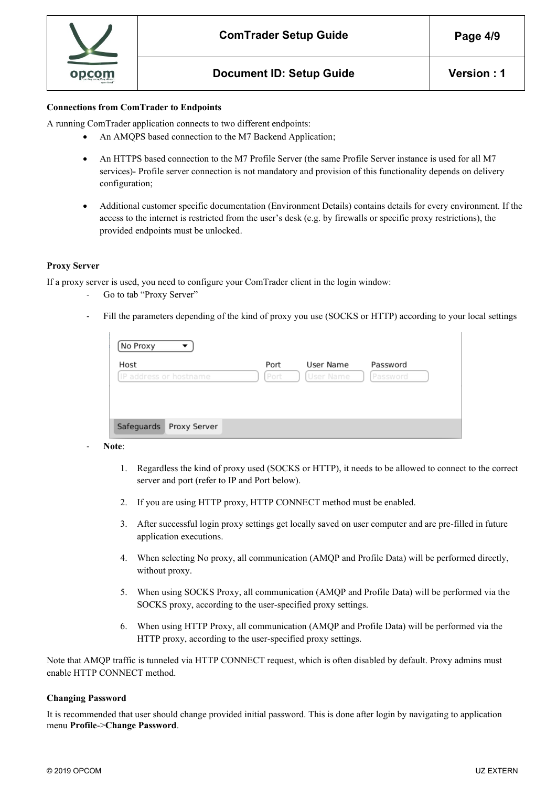

#### **Connections from ComTrader to Endpoints**

A running ComTrader application connects to two different endpoints:

- An AMQPS based connection to the M7 Backend Application;
- An HTTPS based connection to the M7 Profile Server (the same Profile Server instance is used for all M7 services)- Profile server connection is not mandatory and provision of this functionality depends on delivery configuration;
- Additional customer specific documentation (Environment Details) contains details for every environment. If the access to the internet is restricted from the user's desk (e.g. by firewalls or specific proxy restrictions), the provided endpoints must be unlocked.

#### <span id="page-3-0"></span>**Proxy Server**

If a proxy server is used, you need to configure your ComTrader client in the login window:

- Go to tab "Proxy Server"
- Fill the parameters depending of the kind of proxy you use (SOCKS or HTTP) according to your local settings

| Host                   | Port | User Name | Password |
|------------------------|------|-----------|----------|
| IP address or hostname | Port | User Name | Password |
|                        |      |           |          |
|                        |      |           |          |
|                        |      |           |          |
|                        |      |           |          |
|                        |      |           |          |

- **Note**:

- 1. Regardless the kind of proxy used (SOCKS or HTTP), it needs to be allowed to connect to the correct server and port (refer to IP and Port below).
- 2. If you are using HTTP proxy, HTTP CONNECT method must be enabled.
- 3. After successful login proxy settings get locally saved on user computer and are pre-filled in future application executions.
- 4. When selecting No proxy, all communication (AMQP and Profile Data) will be performed directly, without proxy.
- 5. When using SOCKS Proxy, all communication (AMQP and Profile Data) will be performed via the SOCKS proxy, according to the user-specified proxy settings.
- 6. When using HTTP Proxy, all communication (AMQP and Profile Data) will be performed via the HTTP proxy, according to the user-specified proxy settings.

Note that AMQP traffic is tunneled via HTTP CONNECT request, which is often disabled by default. Proxy admins must enable HTTP CONNECT method.

#### **Changing Password**

It is recommended that user should change provided initial password. This is done after login by navigating to application menu **Profile**->**Change Password**.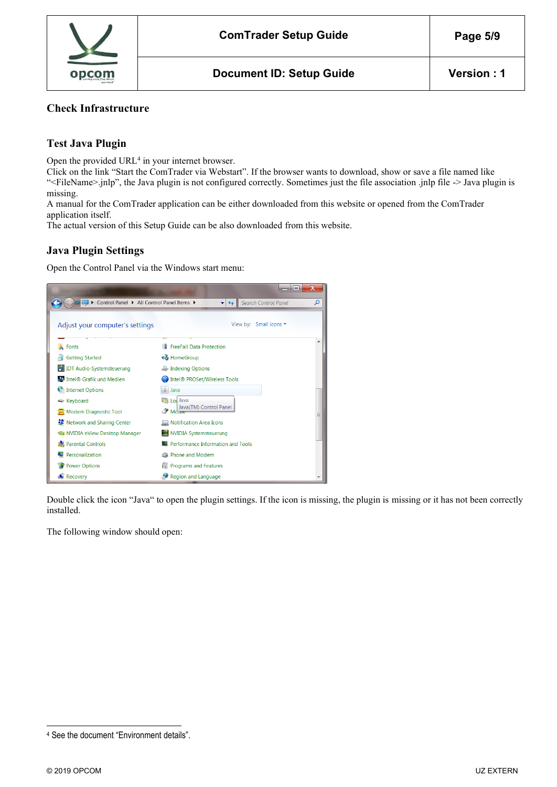

#### **Check Infrastructure**

## **Test Java Plugin**

Open the provided URL<sup>4</sup> in your internet browser.

Click on the link "Start the ComTrader via Webstart". If the browser wants to download, show or save a file named like "<FileName>.jnlp", the Java plugin is not configured correctly. Sometimes just the file association .jnlp file -> Java plugin is missing.

A manual for the ComTrader application can be either downloaded from this website or opened from the ComTrader application itself.

<span id="page-4-0"></span>The actual version of this Setup Guide can be also downloaded from this website.

#### **Java Plugin Settings**

Open the Control Panel via the Windows start menu:



Double click the icon "Java" to open the plugin settings. If the icon is missing, the plugin is missing or it has not been correctly installed.

The following window should open:

<sup>4</sup> See the document "Environment details".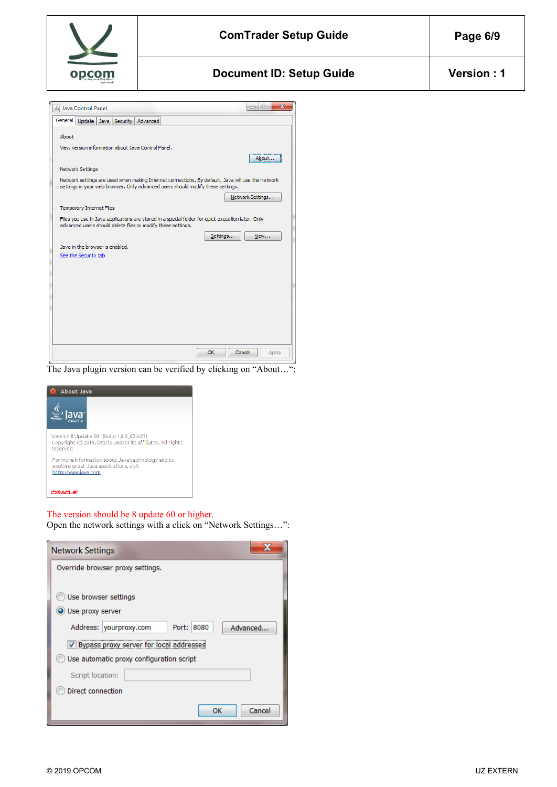

| S Java Control Panel                                                                                                                                                                 | $\mathbf{x}$<br>$\Box$<br>$\qquad \qquad \Box$ |
|--------------------------------------------------------------------------------------------------------------------------------------------------------------------------------------|------------------------------------------------|
| General<br>Update Java Security Advanced                                                                                                                                             |                                                |
| About                                                                                                                                                                                |                                                |
| View version information about Java Control Panel.                                                                                                                                   |                                                |
|                                                                                                                                                                                      | About                                          |
| Network Settings                                                                                                                                                                     |                                                |
| Network settings are used when making Internet connections. By default, Java will use the network<br>settings in your web browser. Only advanced users should modify these settings. |                                                |
|                                                                                                                                                                                      | Network Settings                               |
| Temporary Internet Files                                                                                                                                                             |                                                |
| Files you use in Java applications are stored in a special folder for quick execution later. Only<br>advanced users should delete files or modify these settings.                    |                                                |
| Settings                                                                                                                                                                             | View                                           |
| Java in the browser is enabled.                                                                                                                                                      |                                                |
| See the Security tab                                                                                                                                                                 |                                                |
|                                                                                                                                                                                      |                                                |
|                                                                                                                                                                                      |                                                |
|                                                                                                                                                                                      |                                                |
|                                                                                                                                                                                      |                                                |
|                                                                                                                                                                                      |                                                |
|                                                                                                                                                                                      |                                                |
|                                                                                                                                                                                      |                                                |
|                                                                                                                                                                                      |                                                |
| <b>OK</b><br>Cancel                                                                                                                                                                  | Apply                                          |

The Java plugin version can be verified by clicking on "About…":



#### The version should be 8 update 60 or higher.

Open the network settings with a click on "Network Settings…":

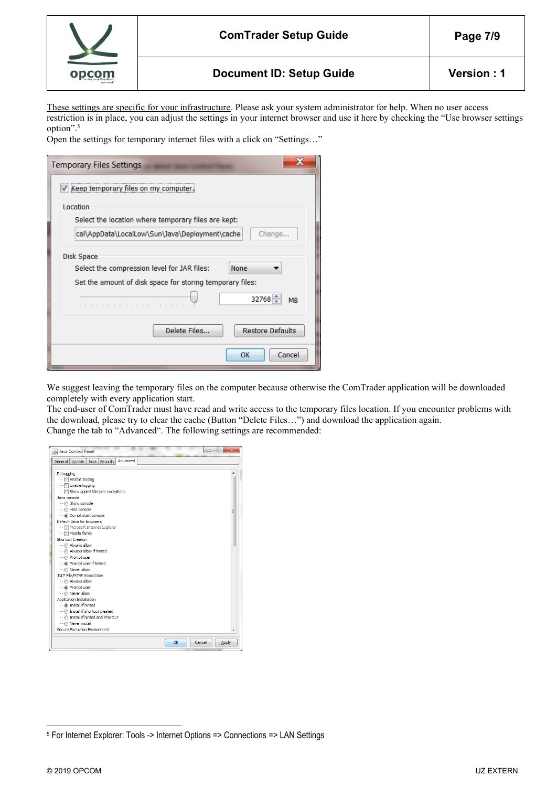

These settings are specific for your infrastructure. Please ask your system administrator for help. When no user access restriction is in place, you can adjust the settings in your internet browser and use it here by checking the "Use browser settings option".<sup>5</sup>

Open the settings for temporary internet files with a click on "Settings…"

| <b>Temporary Files Settings</b>                                   |  |  |
|-------------------------------------------------------------------|--|--|
| Keep temporary files on my computer.                              |  |  |
| Location<br>Select the location where temporary files are kept:   |  |  |
| cal\AppData\LocalLow\Sun\Java\Deployment\cache<br>Change          |  |  |
| Disk Space<br>Select the compression level for JAR files:<br>None |  |  |
| Set the amount of disk space for storing temporary files:         |  |  |
| $32768 -$<br><b>MB</b>                                            |  |  |
| <b>Restore Defaults</b><br>Delete Files                           |  |  |
| Cancel<br>ок                                                      |  |  |

We suggest leaving the temporary files on the computer because otherwise the ComTrader application will be downloaded completely with every application start.

The end-user of ComTrader must have read and write access to the temporary files location. If you encounter problems with the download, please try to clear the cache (Button "Delete Files…") and download the application again. Change the tab to "Advanced". The following settings are recommended:



<sup>5</sup> For Internet Explorer: Tools -> Internet Options => Connections => LAN Settings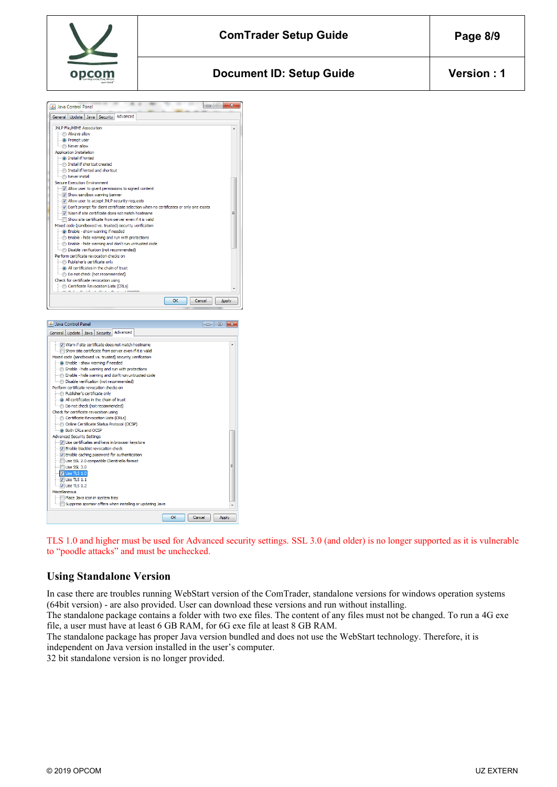

## **Document ID: Setup Guide**  Version : 1



TLS 1.0 and higher must be used for Advanced security settings. SSL 3.0 (and older) is no longer supported as it is vulnerable to "poodle attacks" and must be unchecked.

## <span id="page-7-0"></span>**Using Standalone Version**

In case there are troubles running WebStart version of the ComTrader, standalone versions for windows operation systems (64bit version) - are also provided. User can download these versions and run without installing.

The standalone package contains a folder with two exe files. The content of any files must not be changed. To run a 4G exe file, a user must have at least 6 GB RAM, for 6G exe file at least 8 GB RAM.

The standalone package has proper Java version bundled and does not use the WebStart technology. Therefore, it is independent on Java version installed in the user's computer.

32 bit standalone version is no longer provided.